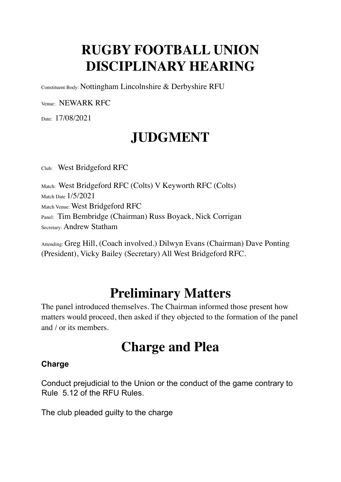#### **RUGBY FOOTBALL UNION DISCIPLINARY HEARING**

Constituent Body: Nottingham Lincolnshire & Derbyshire RFU

Venue:. NEWARK RFC

Date: 17/08/2021

### **JUDGMENT**

Club: West Bridgeford RFC

Match: West Bridgeford RFC (Colts) V Keyworth RFC (Colts). Match Date 1/5/2021 Match Venue: West Bridgeford RFC Panel: Tim Bembridge (Chairman) Russ Boyack, Nick Corrigan Secretary: Andrew Statham

Attending: Greg Hill, (Coach involved.) Dilwyn Evans (Chairman) Dave Ponting (President), Vicky Bailey (Secretary) All West Bridgeford RFC.

#### **Preliminary Matters**

The panel introduced themselves. The Chairman informed those present how matters would proceed, then asked if they objected to the formation of the panel and / or its members.

#### **Charge and Plea**

#### **Charge**

Conduct prejudicial to the Union or the conduct of the game contrary to Rule 5.12 of the RFU Rules.

The club pleaded guilty to the charge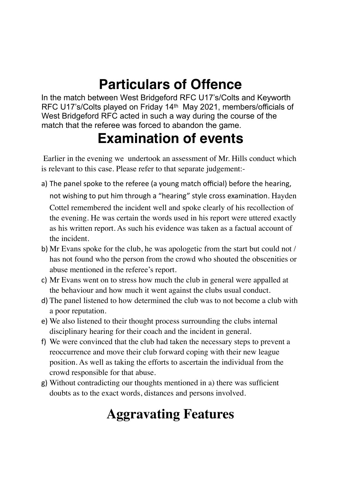#### **Particulars of Offence**

In the match between West Bridgeford RFC U17's/Colts and Keyworth RFC U17's/Colts played on Friday 14th May 2021, members/officials of West Bridgeford RFC acted in such a way during the course of the match that the referee was forced to abandon the game.

#### **Examination of events**

 Earlier in the evening we undertook an assessment of Mr. Hills conduct which is relevant to this case. Please refer to that separate judgement:-

- a) The panel spoke to the referee (a young match official) before the hearing, not wishing to put him through a "hearing" style cross examination. Hayden Cottel remembered the incident well and spoke clearly of his recollection of the evening. He was certain the words used in his report were uttered exactly as his written report. As such his evidence was taken as a factual account of the incident.
- b) Mr Evans spoke for the club, he was apologetic from the start but could not / has not found who the person from the crowd who shouted the obscenities or abuse mentioned in the referee's report.
- c) Mr Evans went on to stress how much the club in general were appalled at the behaviour and how much it went against the clubs usual conduct.
- d) The panel listened to how determined the club was to not become a club with a poor reputation.
- e) We also listened to their thought process surrounding the clubs internal disciplinary hearing for their coach and the incident in general.
- f) We were convinced that the club had taken the necessary steps to prevent a reoccurrence and move their club forward coping with their new league position. As well as taking the efforts to ascertain the individual from the crowd responsible for that abuse.
- g) Without contradicting our thoughts mentioned in a) there was sufficient doubts as to the exact words, distances and persons involved.

#### **Aggravating Features**